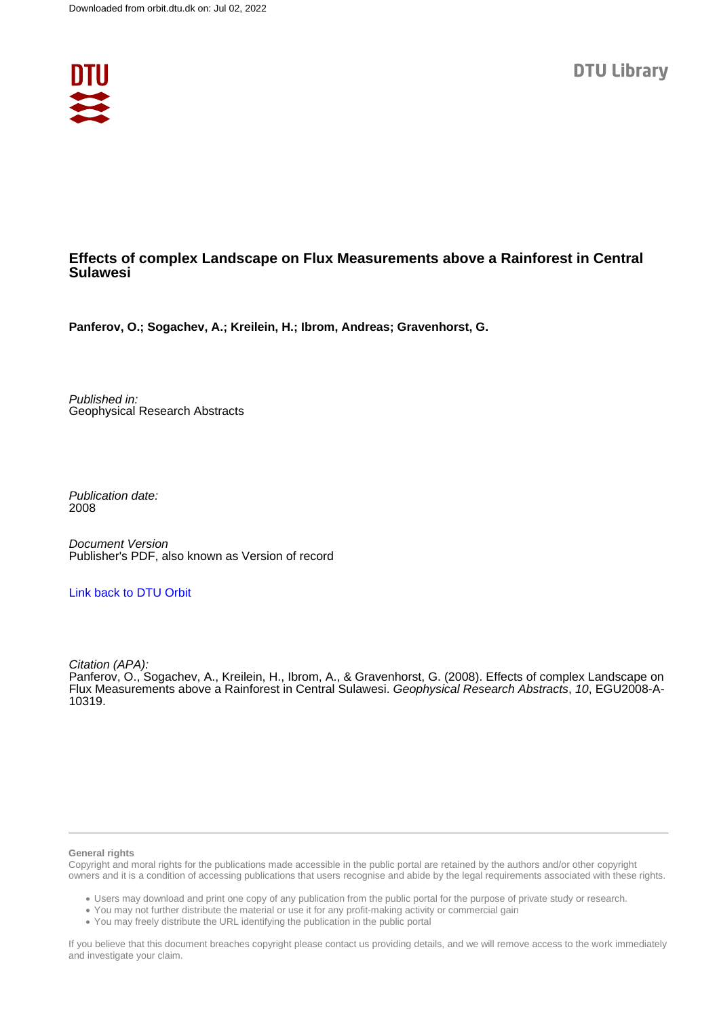

## **Effects of complex Landscape on Flux Measurements above a Rainforest in Central Sulawesi**

**Panferov, O.; Sogachev, A.; Kreilein, H.; Ibrom, Andreas; Gravenhorst, G.**

Published in: Geophysical Research Abstracts

Publication date: 2008

Document Version Publisher's PDF, also known as Version of record

## [Link back to DTU Orbit](https://orbit.dtu.dk/en/publications/71aa7ca6-4df5-4811-9757-a019eaf6a1c7)

Citation (APA):

Panferov, O., Sogachev, A., Kreilein, H., Ibrom, A., & Gravenhorst, G. (2008). Effects of complex Landscape on Flux Measurements above a Rainforest in Central Sulawesi. Geophysical Research Abstracts, 10, EGU2008-A-10319.

## **General rights**

Copyright and moral rights for the publications made accessible in the public portal are retained by the authors and/or other copyright owners and it is a condition of accessing publications that users recognise and abide by the legal requirements associated with these rights.

Users may download and print one copy of any publication from the public portal for the purpose of private study or research.

- You may not further distribute the material or use it for any profit-making activity or commercial gain
- You may freely distribute the URL identifying the publication in the public portal

If you believe that this document breaches copyright please contact us providing details, and we will remove access to the work immediately and investigate your claim.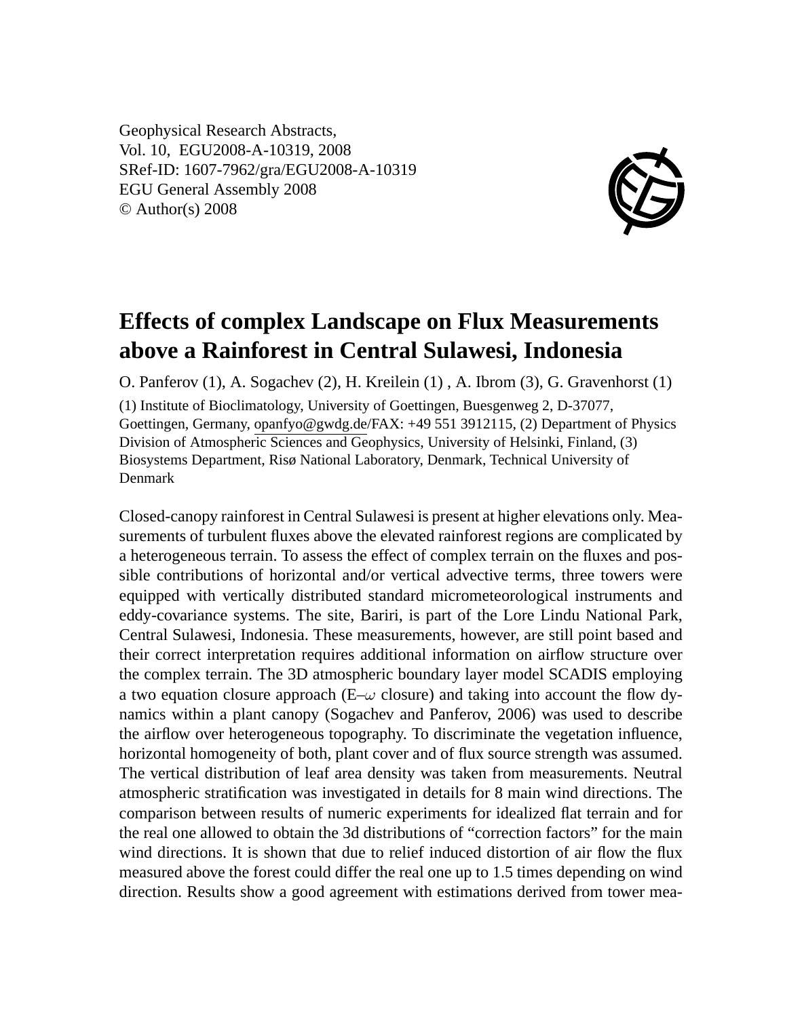Geophysical Research Abstracts, Vol. 10, EGU2008-A-10319, 2008 SRef-ID: 1607-7962/gra/EGU2008-A-10319 EGU General Assembly 2008 © Author(s) 2008



## **Effects of complex Landscape on Flux Measurements above a Rainforest in Central Sulawesi, Indonesia**

O. Panferov (1), A. Sogachev (2), H. Kreilein (1) , A. Ibrom (3), G. Gravenhorst (1)

(1) Institute of Bioclimatology, University of Goettingen, Buesgenweg 2, D-37077, Goettingen, Germany, opanfyo@gwdg.de/FAX: +49 551 3912115, (2) Department of Physics Division of Atmospheric Sciences and Geophysics, University of Helsinki, Finland, (3) Biosystems Department, Risø National Laboratory, Denmark, Technical University of Denmark

Closed-canopy rainforest in Central Sulawesi is present at higher elevations only. Measurements of turbulent fluxes above the elevated rainforest regions are complicated by a heterogeneous terrain. To assess the effect of complex terrain on the fluxes and possible contributions of horizontal and/or vertical advective terms, three towers were equipped with vertically distributed standard micrometeorological instruments and eddy-covariance systems. The site, Bariri, is part of the Lore Lindu National Park, Central Sulawesi, Indonesia. These measurements, however, are still point based and their correct interpretation requires additional information on airflow structure over the complex terrain. The 3D atmospheric boundary layer model SCADIS employing a two equation closure approach ( $E-\omega$  closure) and taking into account the flow dynamics within a plant canopy (Sogachev and Panferov, 2006) was used to describe the airflow over heterogeneous topography. To discriminate the vegetation influence, horizontal homogeneity of both, plant cover and of flux source strength was assumed. The vertical distribution of leaf area density was taken from measurements. Neutral atmospheric stratification was investigated in details for 8 main wind directions. The comparison between results of numeric experiments for idealized flat terrain and for the real one allowed to obtain the 3d distributions of "correction factors" for the main wind directions. It is shown that due to relief induced distortion of air flow the flux measured above the forest could differ the real one up to 1.5 times depending on wind direction. Results show a good agreement with estimations derived from tower mea